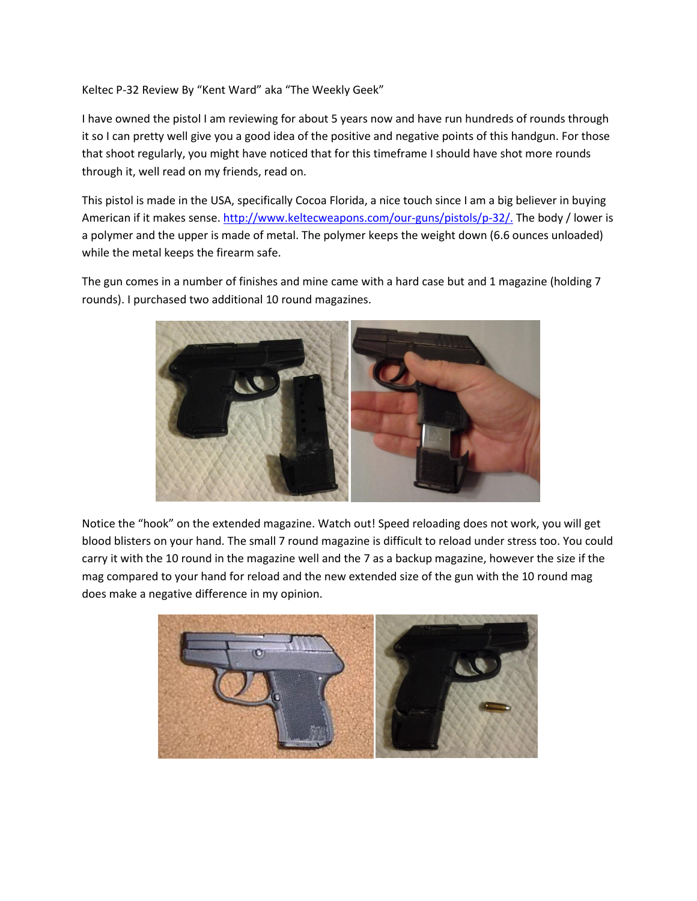Keltec P-32 Review By "Kent Ward" aka "The Weekly Geek"

I have owned the pistol I am reviewing for about 5 years now and have run hundreds of rounds through it so I can pretty well give you a good idea of the positive and negative points of this handgun. For those that shoot regularly, you might have noticed that for this timeframe I should have shot more rounds through it, well read on my friends, read on.

This pistol is made in the USA, specifically Cocoa Florida, a nice touch since I am a big believer in buying American if it makes sense. [http://www.keltecweapons.com/our-guns/pistols/p-32/.](http://www.keltecweapons.com/our-guns/pistols/p-32/) The body / lower is a polymer and the upper is made of metal. The polymer keeps the weight down (6.6 ounces unloaded) while the metal keeps the firearm safe.

The gun comes in a number of finishes and mine came with a hard case but and 1 magazine (holding 7 rounds). I purchased two additional 10 round magazines.



Notice the "hook" on the extended magazine. Watch out! Speed reloading does not work, you will get blood blisters on your hand. The small 7 round magazine is difficult to reload under stress too. You could carry it with the 10 round in the magazine well and the 7 as a backup magazine, however the size if the mag compared to your hand for reload and the new extended size of the gun with the 10 round mag does make a negative difference in my opinion.

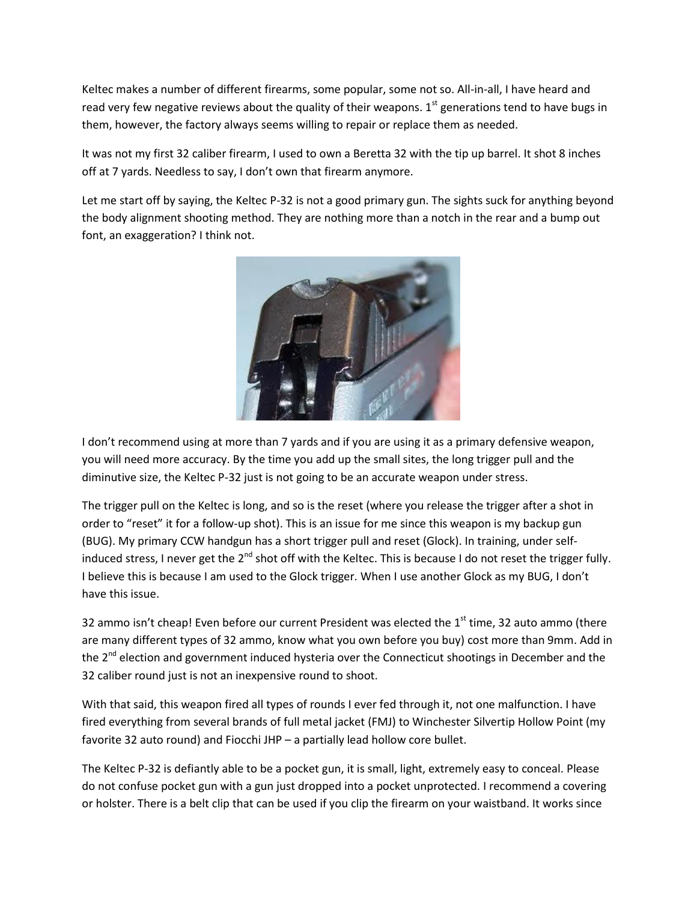Keltec makes a number of different firearms, some popular, some not so. All-in-all, I have heard and read very few negative reviews about the quality of their weapons.  $1<sup>st</sup>$  generations tend to have bugs in them, however, the factory always seems willing to repair or replace them as needed.

It was not my first 32 caliber firearm, I used to own a Beretta 32 with the tip up barrel. It shot 8 inches off at 7 yards. Needless to say, I don't own that firearm anymore.

Let me start off by saying, the Keltec P-32 is not a good primary gun. The sights suck for anything beyond the body alignment shooting method. They are nothing more than a notch in the rear and a bump out font, an exaggeration? I think not.



I don't recommend using at more than 7 yards and if you are using it as a primary defensive weapon, you will need more accuracy. By the time you add up the small sites, the long trigger pull and the diminutive size, the Keltec P-32 just is not going to be an accurate weapon under stress.

The trigger pull on the Keltec is long, and so is the reset (where you release the trigger after a shot in order to "reset" it for a follow-up shot). This is an issue for me since this weapon is my backup gun (BUG). My primary CCW handgun has a short trigger pull and reset (Glock). In training, under selfinduced stress, I never get the  $2^{nd}$  shot off with the Keltec. This is because I do not reset the trigger fully. I believe this is because I am used to the Glock trigger. When I use another Glock as my BUG, I don't have this issue.

32 ammo isn't cheap! Even before our current President was elected the  $1<sup>st</sup>$  time, 32 auto ammo (there are many different types of 32 ammo, know what you own before you buy) cost more than 9mm. Add in the 2<sup>nd</sup> election and government induced hysteria over the Connecticut shootings in December and the 32 caliber round just is not an inexpensive round to shoot.

With that said, this weapon fired all types of rounds I ever fed through it, not one malfunction. I have fired everything from several brands of full metal jacket (FMJ) to Winchester Silvertip Hollow Point (my favorite 32 auto round) and Fiocchi JHP – a partially lead hollow core bullet.

The Keltec P-32 is defiantly able to be a pocket gun, it is small, light, extremely easy to conceal. Please do not confuse pocket gun with a gun just dropped into a pocket unprotected. I recommend a covering or holster. There is a belt clip that can be used if you clip the firearm on your waistband. It works since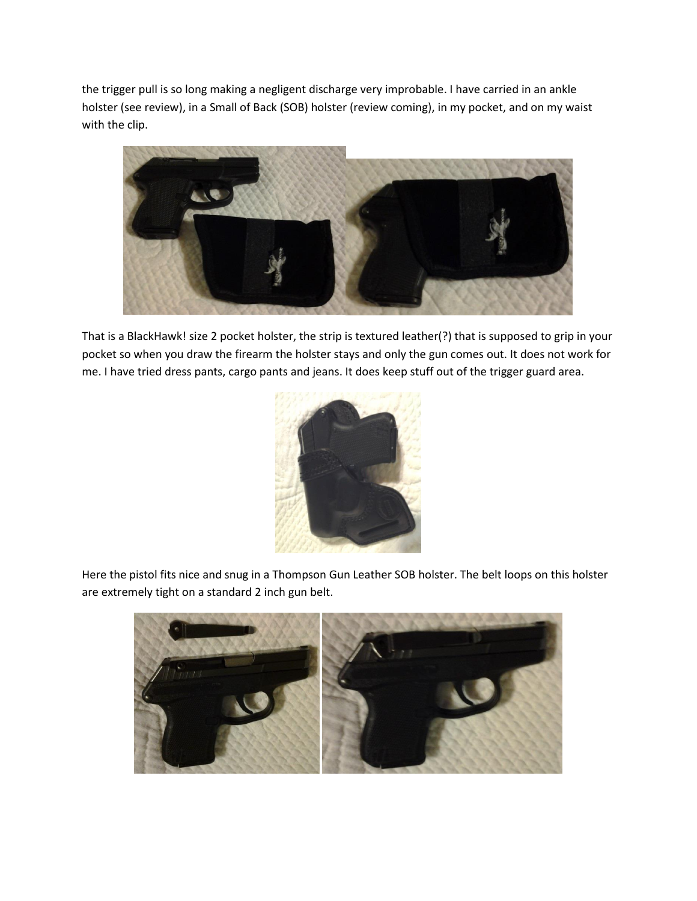the trigger pull is so long making a negligent discharge very improbable. I have carried in an ankle holster (see review), in a Small of Back (SOB) holster (review coming), in my pocket, and on my waist with the clip.



That is a BlackHawk! size 2 pocket holster, the strip is textured leather(?) that is supposed to grip in your pocket so when you draw the firearm the holster stays and only the gun comes out. It does not work for me. I have tried dress pants, cargo pants and jeans. It does keep stuff out of the trigger guard area.



Here the pistol fits nice and snug in a Thompson Gun Leather SOB holster. The belt loops on this holster are extremely tight on a standard 2 inch gun belt.